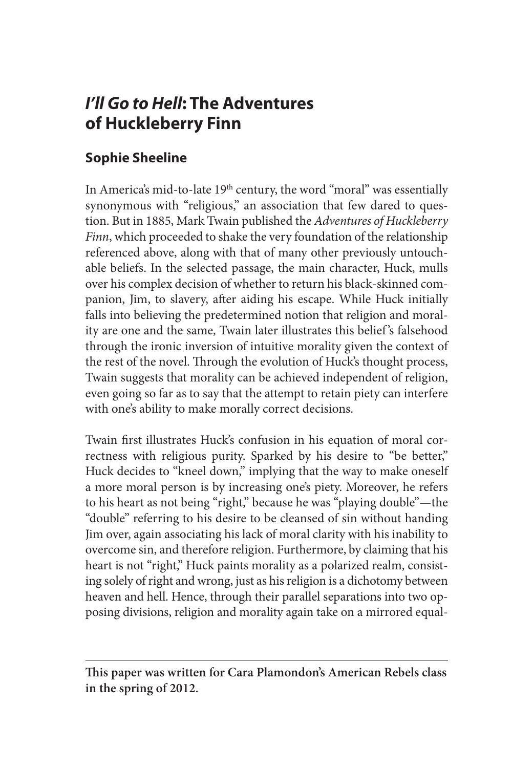## *I'll Go to Hell***: The Adventures of Huckleberry Finn**

## **Sophie Sheeline**

In America's mid-to-late 19<sup>th</sup> century, the word "moral" was essentially synonymous with "religious," an association that few dared to question. But in 1885, Mark Twain published the *Adventures of Huckleberry Finn*, which proceeded to shake the very foundation of the relationship referenced above, along with that of many other previously untouchable beliefs. In the selected passage, the main character, Huck, mulls over his complex decision of whether to return his black-skinned companion, Jim, to slavery, after aiding his escape. While Huck initially falls into believing the predetermined notion that religion and morality are one and the same, Twain later illustrates this belief 's falsehood through the ironic inversion of intuitive morality given the context of the rest of the novel. Through the evolution of Huck's thought process, Twain suggests that morality can be achieved independent of religion, even going so far as to say that the attempt to retain piety can interfere with one's ability to make morally correct decisions.

Twain first illustrates Huck's confusion in his equation of moral correctness with religious purity. Sparked by his desire to "be better," Huck decides to "kneel down," implying that the way to make oneself a more moral person is by increasing one's piety. Moreover, he refers to his heart as not being "right," because he was "playing double"—the "double" referring to his desire to be cleansed of sin without handing Jim over, again associating his lack of moral clarity with his inability to overcome sin, and therefore religion. Furthermore, by claiming that his heart is not "right," Huck paints morality as a polarized realm, consisting solely of right and wrong, just as his religion is a dichotomy between heaven and hell. Hence, through their parallel separations into two opposing divisions, religion and morality again take on a mirrored equal-

**This paper was written for Cara Plamondon's American Rebels class in the spring of 2012.**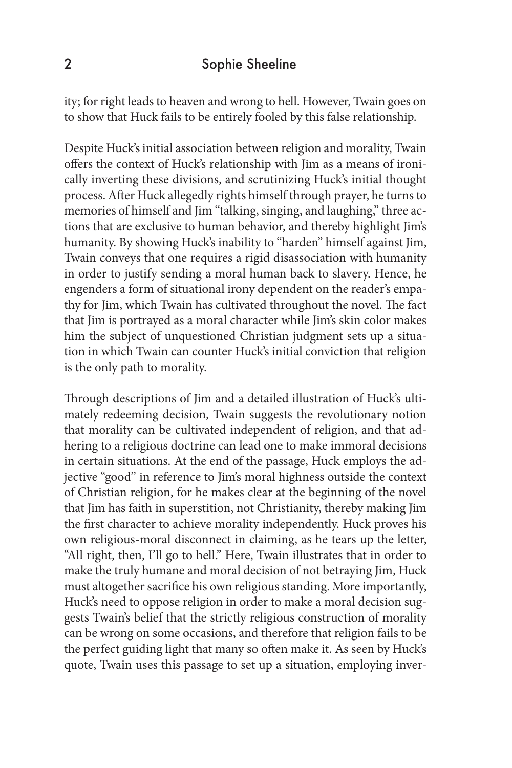ity; for right leads to heaven and wrong to hell. However, Twain goes on to show that Huck fails to be entirely fooled by this false relationship.

Despite Huck's initial association between religion and morality, Twain offers the context of Huck's relationship with Jim as a means of ironically inverting these divisions, and scrutinizing Huck's initial thought process. After Huck allegedly rights himself through prayer, he turns to memories of himself and Jim "talking, singing, and laughing," three actions that are exclusive to human behavior, and thereby highlight Jim's humanity. By showing Huck's inability to "harden" himself against Jim, Twain conveys that one requires a rigid disassociation with humanity in order to justify sending a moral human back to slavery. Hence, he engenders a form of situational irony dependent on the reader's empathy for Jim, which Twain has cultivated throughout the novel. The fact that Jim is portrayed as a moral character while Jim's skin color makes him the subject of unquestioned Christian judgment sets up a situation in which Twain can counter Huck's initial conviction that religion is the only path to morality.

Through descriptions of Jim and a detailed illustration of Huck's ultimately redeeming decision, Twain suggests the revolutionary notion that morality can be cultivated independent of religion, and that adhering to a religious doctrine can lead one to make immoral decisions in certain situations. At the end of the passage, Huck employs the adjective "good" in reference to Jim's moral highness outside the context of Christian religion, for he makes clear at the beginning of the novel that Jim has faith in superstition, not Christianity, thereby making Jim the first character to achieve morality independently. Huck proves his own religious-moral disconnect in claiming, as he tears up the letter, "All right, then, I'll go to hell." Here, Twain illustrates that in order to make the truly humane and moral decision of not betraying Jim, Huck must altogether sacrifice his own religious standing. More importantly, Huck's need to oppose religion in order to make a moral decision suggests Twain's belief that the strictly religious construction of morality can be wrong on some occasions, and therefore that religion fails to be the perfect guiding light that many so often make it. As seen by Huck's quote, Twain uses this passage to set up a situation, employing inver